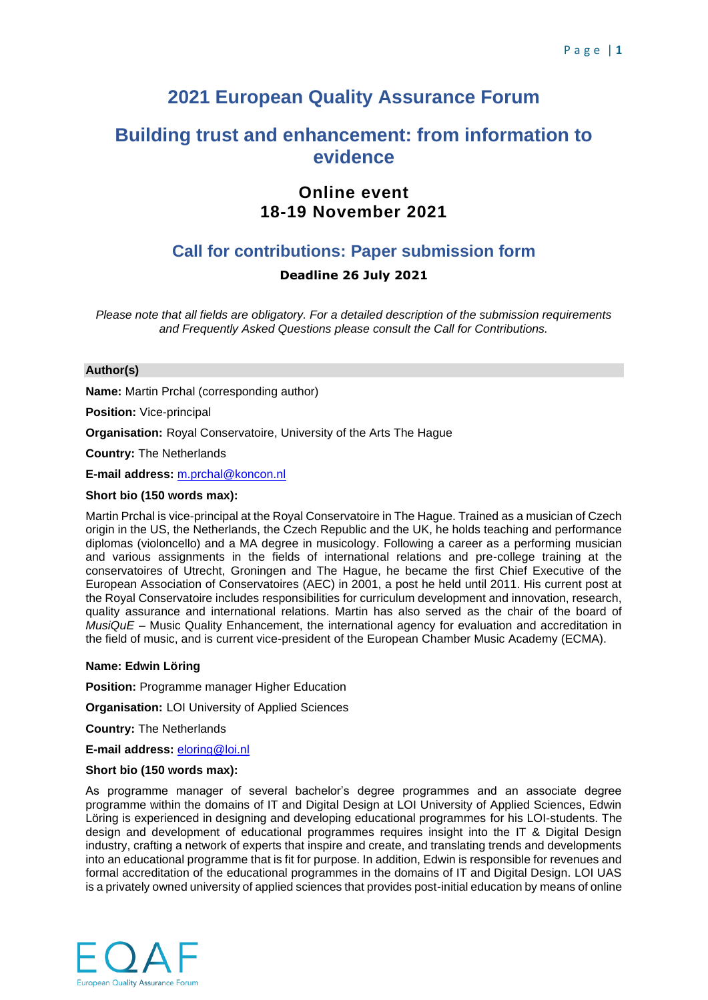# **2021 European Quality Assurance Forum**

# **Building trust and enhancement: from information to evidence**

# **Online event 18-19 November 2021**

# **Call for contributions: Paper submission form**

# **Deadline 26 July 2021**

*Please note that all fields are obligatory. For a detailed description of the submission requirements and Frequently Asked Questions please consult the Call for Contributions.*

# **Author(s)**

**Name:** Martin Prchal (corresponding author)

**Position:** Vice-principal

**Organisation:** Royal Conservatoire, University of the Arts The Hague

**Country:** The Netherlands

**E-mail address:** [m.prchal@koncon.nl](mailto:m.prchal@koncon.nl)

# **Short bio (150 words max):**

Martin Prchal is vice-principal at the Royal Conservatoire in The Hague. Trained as a musician of Czech origin in the US, the Netherlands, the Czech Republic and the UK, he holds teaching and performance diplomas (violoncello) and a MA degree in musicology. Following a career as a performing musician and various assignments in the fields of international relations and pre-college training at the conservatoires of Utrecht, Groningen and The Hague, he became the first Chief Executive of the European Association of Conservatoires (AEC) in 2001, a post he held until 2011. His current post at the Royal Conservatoire includes responsibilities for curriculum development and innovation, research, quality assurance and international relations. Martin has also served as the chair of the board of *MusiQuE* – Music Quality Enhancement, the international agency for evaluation and accreditation in the field of music, and is current vice-president of the European Chamber Music Academy (ECMA).

# **Name: Edwin Löring**

**Position:** Programme manager Higher Education

**Organisation:** LOI University of Applied Sciences

**Country:** The Netherlands

**E-mail address:** [eloring@loi.nl](mailto:eloring@loi.nl)

# **Short bio (150 words max):**

As programme manager of several bachelor's degree programmes and an associate degree programme within the domains of IT and Digital Design at LOI University of Applied Sciences, Edwin Löring is experienced in designing and developing educational programmes for his LOI-students. The design and development of educational programmes requires insight into the IT & Digital Design industry, crafting a network of experts that inspire and create, and translating trends and developments into an educational programme that is fit for purpose. In addition, Edwin is responsible for revenues and formal accreditation of the educational programmes in the domains of IT and Digital Design. LOI UAS is a privately owned university of applied sciences that provides post-initial education by means of online

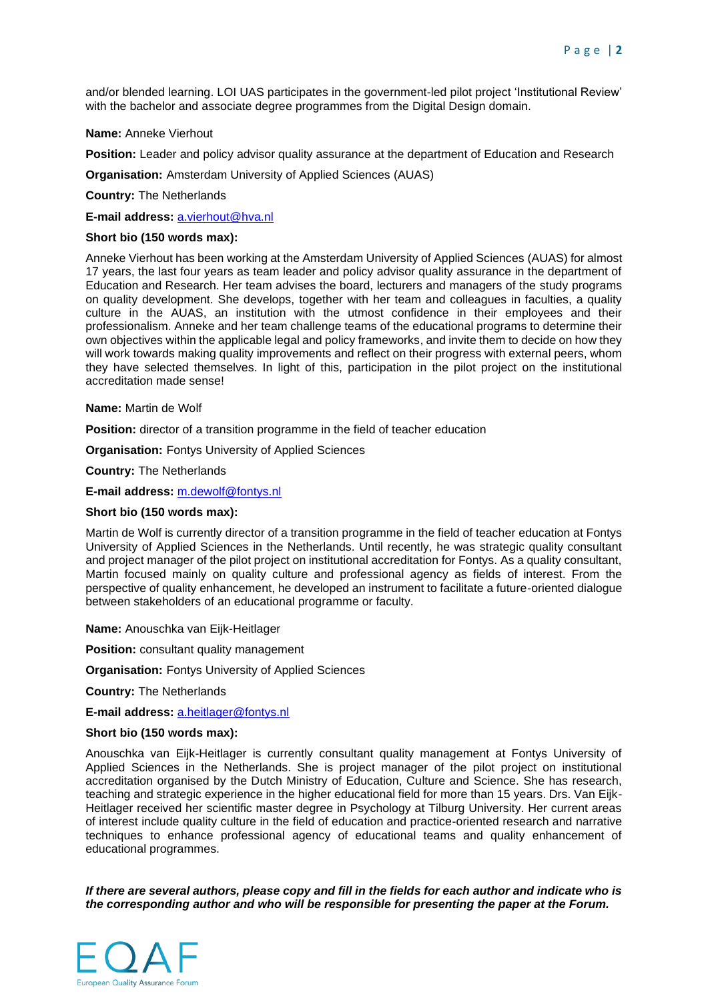and/or blended learning. LOI UAS participates in the government-led pilot project 'Institutional Review' with the bachelor and associate degree programmes from the Digital Design domain.

**Name:** Anneke Vierhout

**Position:** Leader and policy advisor quality assurance at the department of Education and Research

**Organisation:** Amsterdam University of Applied Sciences (AUAS)

**Country:** The Netherlands

**E-mail address:** [a.vierhout@hva.nl](mailto:a.vierhout@hva.nl)

#### **Short bio (150 words max):**

Anneke Vierhout has been working at the Amsterdam University of Applied Sciences (AUAS) for almost 17 years, the last four years as team leader and policy advisor quality assurance in the department of Education and Research. Her team advises the board, lecturers and managers of the study programs on quality development. She develops, together with her team and colleagues in faculties, a quality culture in the AUAS, an institution with the utmost confidence in their employees and their professionalism. Anneke and her team challenge teams of the educational programs to determine their own objectives within the applicable legal and policy frameworks, and invite them to decide on how they will work towards making quality improvements and reflect on their progress with external peers, whom they have selected themselves. In light of this, participation in the pilot project on the institutional accreditation made sense!

**Name:** Martin de Wolf

**Position:** director of a transition programme in the field of teacher education

**Organisation:** Fontys University of Applied Sciences

**Country:** The Netherlands

**E-mail address:** [m.dewolf@fontys.nl](mailto:m.dewolf@fontys.nl)

#### **Short bio (150 words max):**

Martin de Wolf is currently director of a transition programme in the field of teacher education at Fontys University of Applied Sciences in the Netherlands. Until recently, he was strategic quality consultant and project manager of the pilot project on institutional accreditation for Fontys. As a quality consultant, Martin focused mainly on quality culture and professional agency as fields of interest. From the perspective of quality enhancement, he developed an instrument to facilitate a future-oriented dialogue between stakeholders of an educational programme or faculty.

**Name:** Anouschka van Eijk-Heitlager

**Position:** consultant quality management

**Organisation:** Fontys University of Applied Sciences

**Country:** The Netherlands

**E-mail address:** [a.heitlager@fontys.nl](mailto:a.heitlager@fontys.nl)

#### **Short bio (150 words max):**

Anouschka van Eijk-Heitlager is currently consultant quality management at Fontys University of Applied Sciences in the Netherlands. She is project manager of the pilot project on institutional accreditation organised by the Dutch Ministry of Education, Culture and Science. She has research, teaching and strategic experience in the higher educational field for more than 15 years. Drs. Van Eijk-Heitlager received her scientific master degree in Psychology at Tilburg University. Her current areas of interest include quality culture in the field of education and practice-oriented research and narrative techniques to enhance professional agency of educational teams and quality enhancement of educational programmes.

*If there are several authors, please copy and fill in the fields for each author and indicate who is the corresponding author and who will be responsible for presenting the paper at the Forum.*

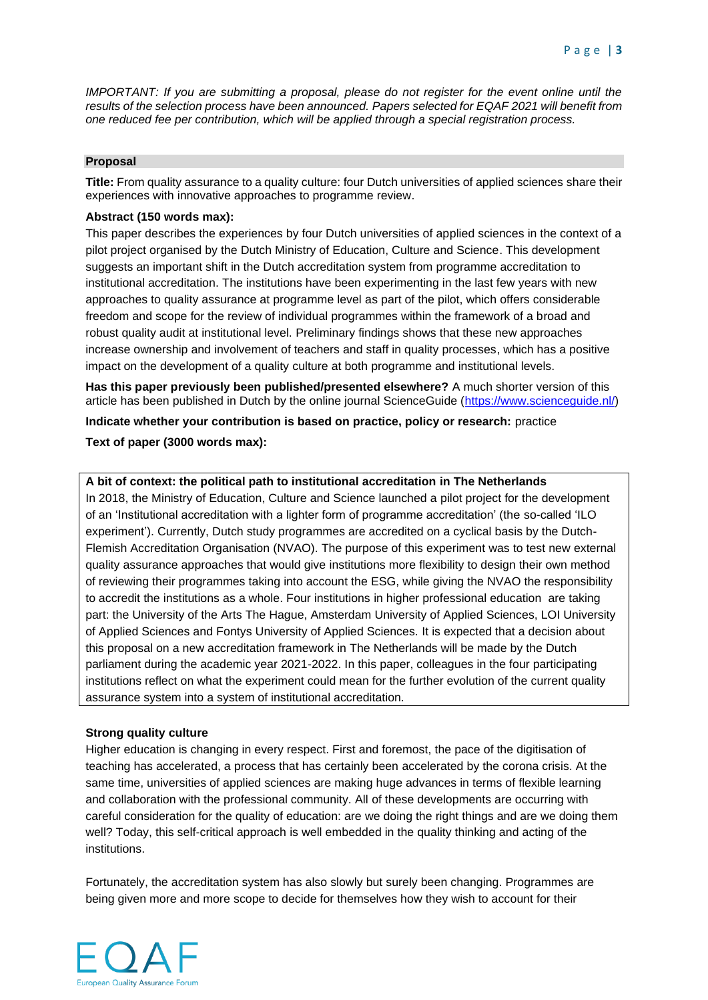*IMPORTANT: If you are submitting a proposal, please do not register for the event online until the results of the selection process have been announced. Papers selected for EQAF 2021 will benefit from one reduced fee per contribution, which will be applied through a special registration process.*

#### **Proposal**

**Title:** From quality assurance to a quality culture: four Dutch universities of applied sciences share their experiences with innovative approaches to programme review.

# **Abstract (150 words max):**

This paper describes the experiences by four Dutch universities of applied sciences in the context of a pilot project organised by the Dutch Ministry of Education, Culture and Science. This development suggests an important shift in the Dutch accreditation system from programme accreditation to institutional accreditation. The institutions have been experimenting in the last few years with new approaches to quality assurance at programme level as part of the pilot, which offers considerable freedom and scope for the review of individual programmes within the framework of a broad and robust quality audit at institutional level. Preliminary findings shows that these new approaches increase ownership and involvement of teachers and staff in quality processes, which has a positive impact on the development of a quality culture at both programme and institutional levels.

**Has this paper previously been published/presented elsewhere?** A much shorter version of this article has been published in Dutch by the online journal ScienceGuide [\(https://www.scienceguide.nl/\)](https://www.scienceguide.nl/)

**Indicate whether your contribution is based on practice, policy or research:** practice **Text of paper (3000 words max):**

# **A bit of context: the political path to institutional accreditation in The Netherlands**

In 2018, the Ministry of Education, Culture and Science launched a pilot project for the development of an 'Institutional accreditation with a lighter form of programme accreditation' (the so-called 'ILO experiment'). Currently, Dutch study programmes are accredited on a cyclical basis by the Dutch-Flemish Accreditation Organisation (NVAO). The purpose of this experiment was to test new external quality assurance approaches that would give institutions more flexibility to design their own method of reviewing their programmes taking into account the ESG, while giving the NVAO the responsibility to accredit the institutions as a whole. Four institutions in higher professional education are taking part: the University of the Arts The Hague, Amsterdam University of Applied Sciences, LOI University of Applied Sciences and Fontys University of Applied Sciences. It is expected that a decision about this proposal on a new accreditation framework in The Netherlands will be made by the Dutch parliament during the academic year 2021-2022. In this paper, colleagues in the four participating institutions reflect on what the experiment could mean for the further evolution of the current quality assurance system into a system of institutional accreditation.

#### **Strong quality culture**

Higher education is changing in every respect. First and foremost, the pace of the digitisation of teaching has accelerated, a process that has certainly been accelerated by the corona crisis. At the same time, universities of applied sciences are making huge advances in terms of flexible learning and collaboration with the professional community. All of these developments are occurring with careful consideration for the quality of education: are we doing the right things and are we doing them well? Today, this self-critical approach is well embedded in the quality thinking and acting of the institutions.

Fortunately, the accreditation system has also slowly but surely been changing. Programmes are being given more and more scope to decide for themselves how they wish to account for their

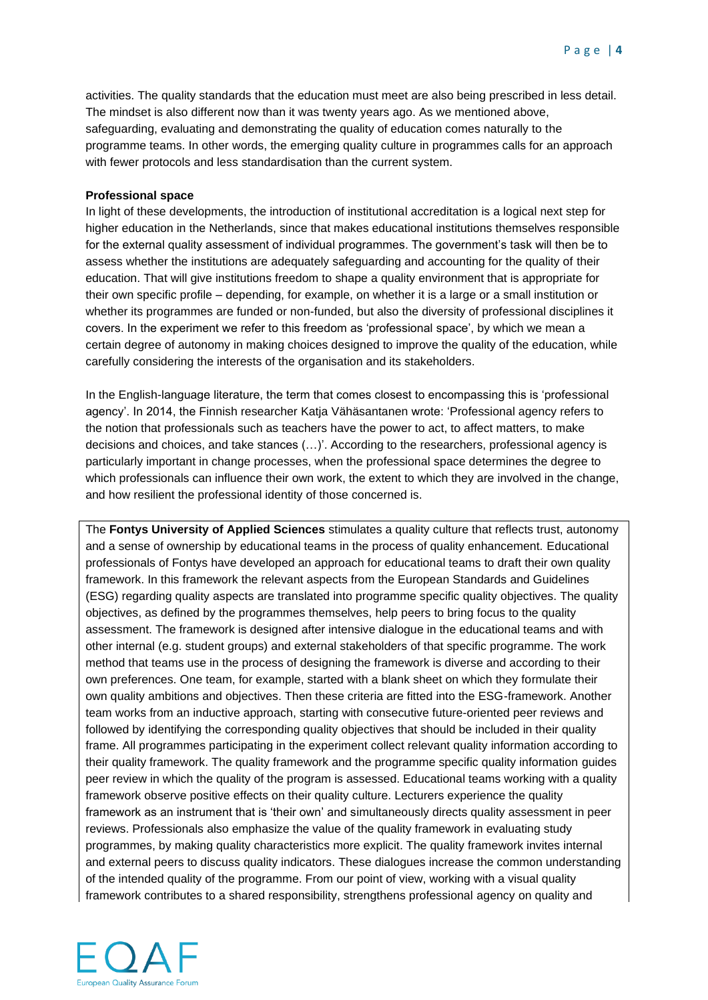activities. The quality standards that the education must meet are also being prescribed in less detail. The mindset is also different now than it was twenty years ago. As we mentioned above, safeguarding, evaluating and demonstrating the quality of education comes naturally to the programme teams. In other words, the emerging quality culture in programmes calls for an approach with fewer protocols and less standardisation than the current system.

# **Professional space**

In light of these developments, the introduction of institutional accreditation is a logical next step for higher education in the Netherlands, since that makes educational institutions themselves responsible for the external quality assessment of individual programmes. The government's task will then be to assess whether the institutions are adequately safeguarding and accounting for the quality of their education. That will give institutions freedom to shape a quality environment that is appropriate for their own specific profile – depending, for example, on whether it is a large or a small institution or whether its programmes are funded or non-funded, but also the diversity of professional disciplines it covers. In the experiment we refer to this freedom as 'professional space', by which we mean a certain degree of autonomy in making choices designed to improve the quality of the education, while carefully considering the interests of the organisation and its stakeholders.

In the English-language literature, the term that comes closest to encompassing this is 'professional agency'. In 2014, the Finnish researcher Katja Vähäsantanen wrote: 'Professional agency refers to the notion that professionals such as teachers have the power to act, to affect matters, to make decisions and choices, and take stances (…)'. According to the researchers, professional agency is particularly important in change processes, when the professional space determines the degree to which professionals can influence their own work, the extent to which they are involved in the change, and how resilient the professional identity of those concerned is.

The **Fontys University of Applied Sciences** stimulates a quality culture that reflects trust, autonomy and a sense of ownership by educational teams in the process of quality enhancement. Educational professionals of Fontys have developed an approach for educational teams to draft their own quality framework. In this framework the relevant aspects from the European Standards and Guidelines (ESG) regarding quality aspects are translated into programme specific quality objectives. The quality objectives, as defined by the programmes themselves, help peers to bring focus to the quality assessment. The framework is designed after intensive dialogue in the educational teams and with other internal (e.g. student groups) and external stakeholders of that specific programme. The work method that teams use in the process of designing the framework is diverse and according to their own preferences. One team, for example, started with a blank sheet on which they formulate their own quality ambitions and objectives. Then these criteria are fitted into the ESG-framework. Another team works from an inductive approach, starting with consecutive future-oriented peer reviews and followed by identifying the corresponding quality objectives that should be included in their quality frame. All programmes participating in the experiment collect relevant quality information according to their quality framework. The quality framework and the programme specific quality information guides peer review in which the quality of the program is assessed. Educational teams working with a quality framework observe positive effects on their quality culture. Lecturers experience the quality framework as an instrument that is 'their own' and simultaneously directs quality assessment in peer reviews. Professionals also emphasize the value of the quality framework in evaluating study programmes, by making quality characteristics more explicit. The quality framework invites internal and external peers to discuss quality indicators. These dialogues increase the common understanding of the intended quality of the programme. From our point of view, working with a visual quality framework contributes to a shared responsibility, strengthens professional agency on quality and

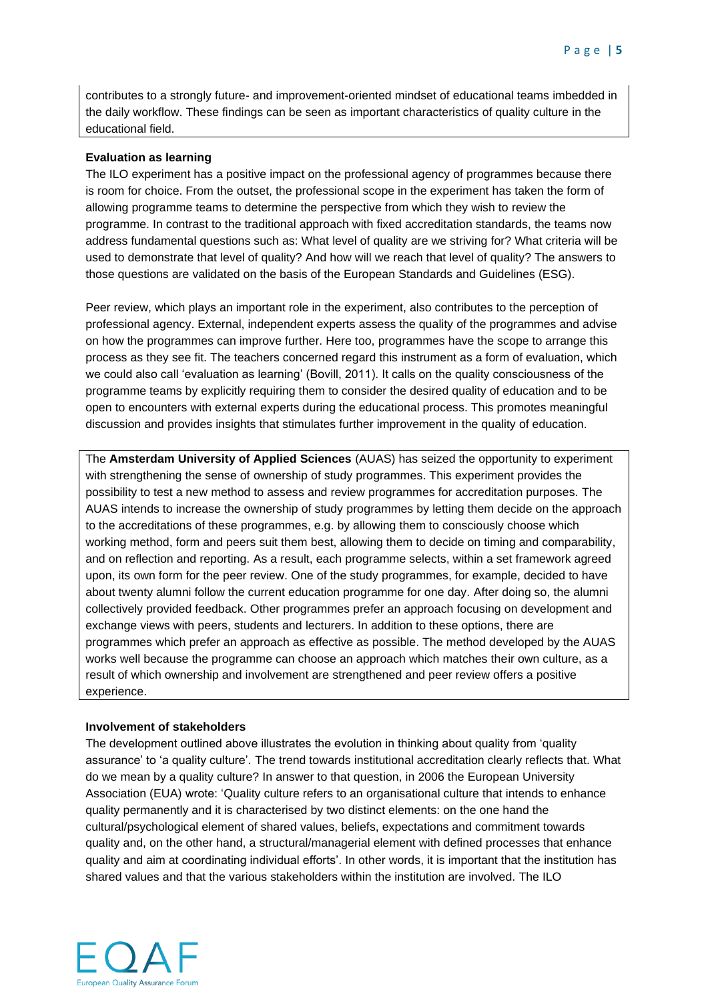contributes to a strongly future- and improvement-oriented mindset of educational teams imbedded in the daily workflow. These findings can be seen as important characteristics of quality culture in the educational field.

# **Evaluation as learning**

The ILO experiment has a positive impact on the professional agency of programmes because there is room for choice. From the outset, the professional scope in the experiment has taken the form of allowing programme teams to determine the perspective from which they wish to review the programme. In contrast to the traditional approach with fixed accreditation standards, the teams now address fundamental questions such as: What level of quality are we striving for? What criteria will be used to demonstrate that level of quality? And how will we reach that level of quality? The answers to those questions are validated on the basis of the European Standards and Guidelines (ESG).

Peer review, which plays an important role in the experiment, also contributes to the perception of professional agency. External, independent experts assess the quality of the programmes and advise on how the programmes can improve further. Here too, programmes have the scope to arrange this process as they see fit. The teachers concerned regard this instrument as a form of evaluation, which we could also call 'evaluation as learning' (Bovill, 2011). It calls on the quality consciousness of the programme teams by explicitly requiring them to consider the desired quality of education and to be open to encounters with external experts during the educational process. This promotes meaningful discussion and provides insights that stimulates further improvement in the quality of education.

The **Amsterdam University of Applied Sciences** (AUAS) has seized the opportunity to experiment with strengthening the sense of ownership of study programmes. This experiment provides the possibility to test a new method to assess and review programmes for accreditation purposes. The AUAS intends to increase the ownership of study programmes by letting them decide on the approach to the accreditations of these programmes, e.g. by allowing them to consciously choose which working method, form and peers suit them best, allowing them to decide on timing and comparability, and on reflection and reporting. As a result, each programme selects, within a set framework agreed upon, its own form for the peer review. One of the study programmes, for example, decided to have about twenty alumni follow the current education programme for one day. After doing so, the alumni collectively provided feedback. Other programmes prefer an approach focusing on development and exchange views with peers, students and lecturers. In addition to these options, there are programmes which prefer an approach as effective as possible. The method developed by the AUAS works well because the programme can choose an approach which matches their own culture, as a result of which ownership and involvement are strengthened and peer review offers a positive experience.

# **Involvement of stakeholders**

The development outlined above illustrates the evolution in thinking about quality from 'quality assurance' to 'a quality culture'. The trend towards institutional accreditation clearly reflects that. What do we mean by a quality culture? In answer to that question, in 2006 the European University Association (EUA) wrote: 'Quality culture refers to an organisational culture that intends to enhance quality permanently and it is characterised by two distinct elements: on the one hand the cultural/psychological element of shared values, beliefs, expectations and commitment towards quality and, on the other hand, a structural/managerial element with defined processes that enhance quality and aim at coordinating individual efforts'. In other words, it is important that the institution has shared values and that the various stakeholders within the institution are involved. The ILO

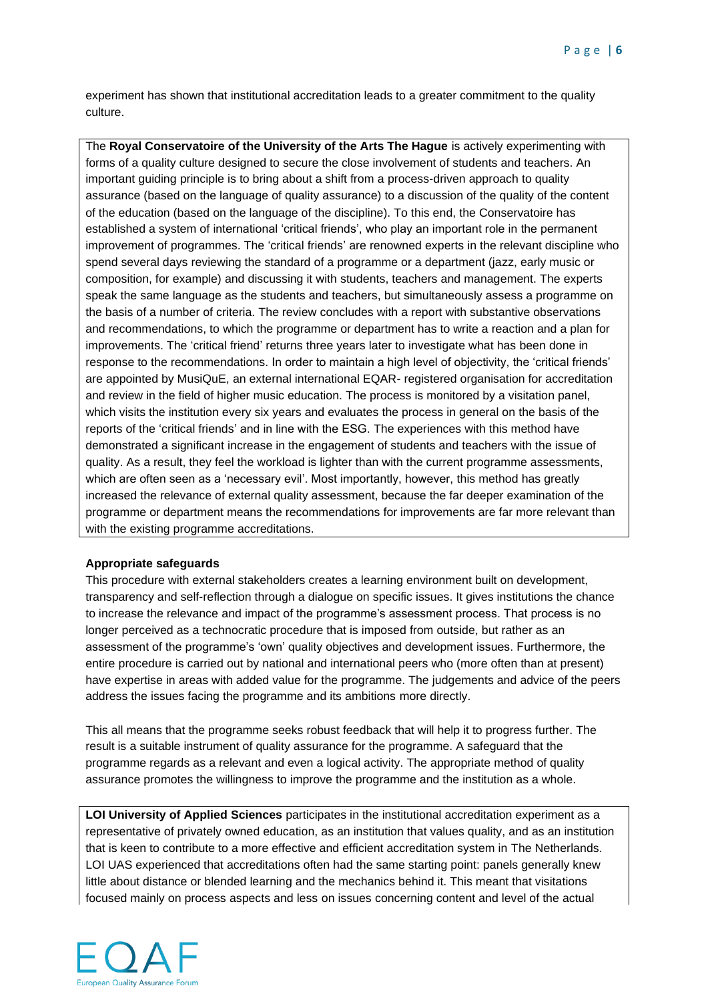experiment has shown that institutional accreditation leads to a greater commitment to the quality culture.

The **Royal Conservatoire of the University of the Arts The Hague** is actively experimenting with forms of a quality culture designed to secure the close involvement of students and teachers. An important guiding principle is to bring about a shift from a process-driven approach to quality assurance (based on the language of quality assurance) to a discussion of the quality of the content of the education (based on the language of the discipline). To this end, the Conservatoire has established a system of international 'critical friends', who play an important role in the permanent improvement of programmes. The 'critical friends' are renowned experts in the relevant discipline who spend several days reviewing the standard of a programme or a department (jazz, early music or composition, for example) and discussing it with students, teachers and management. The experts speak the same language as the students and teachers, but simultaneously assess a programme on the basis of a number of criteria. The review concludes with a report with substantive observations and recommendations, to which the programme or department has to write a reaction and a plan for improvements. The 'critical friend' returns three years later to investigate what has been done in response to the recommendations. In order to maintain a high level of objectivity, the 'critical friends' are appointed by MusiQuE, an external international EQAR- registered organisation for accreditation and review in the field of higher music education. The process is monitored by a visitation panel, which visits the institution every six years and evaluates the process in general on the basis of the reports of the 'critical friends' and in line with the ESG. The experiences with this method have demonstrated a significant increase in the engagement of students and teachers with the issue of quality. As a result, they feel the workload is lighter than with the current programme assessments, which are often seen as a 'necessary evil'. Most importantly, however, this method has greatly increased the relevance of external quality assessment, because the far deeper examination of the programme or department means the recommendations for improvements are far more relevant than with the existing programme accreditations.

# **Appropriate safeguards**

This procedure with external stakeholders creates a learning environment built on development, transparency and self-reflection through a dialogue on specific issues. It gives institutions the chance to increase the relevance and impact of the programme's assessment process. That process is no longer perceived as a technocratic procedure that is imposed from outside, but rather as an assessment of the programme's 'own' quality objectives and development issues. Furthermore, the entire procedure is carried out by national and international peers who (more often than at present) have expertise in areas with added value for the programme. The judgements and advice of the peers address the issues facing the programme and its ambitions more directly.

This all means that the programme seeks robust feedback that will help it to progress further. The result is a suitable instrument of quality assurance for the programme. A safeguard that the programme regards as a relevant and even a logical activity. The appropriate method of quality assurance promotes the willingness to improve the programme and the institution as a whole.

**LOI University of Applied Sciences** participates in the institutional accreditation experiment as a representative of privately owned education, as an institution that values quality, and as an institution that is keen to contribute to a more effective and efficient accreditation system in The Netherlands. LOI UAS experienced that accreditations often had the same starting point: panels generally knew little about distance or blended learning and the mechanics behind it. This meant that visitations focused mainly on process aspects and less on issues concerning content and level of the actual